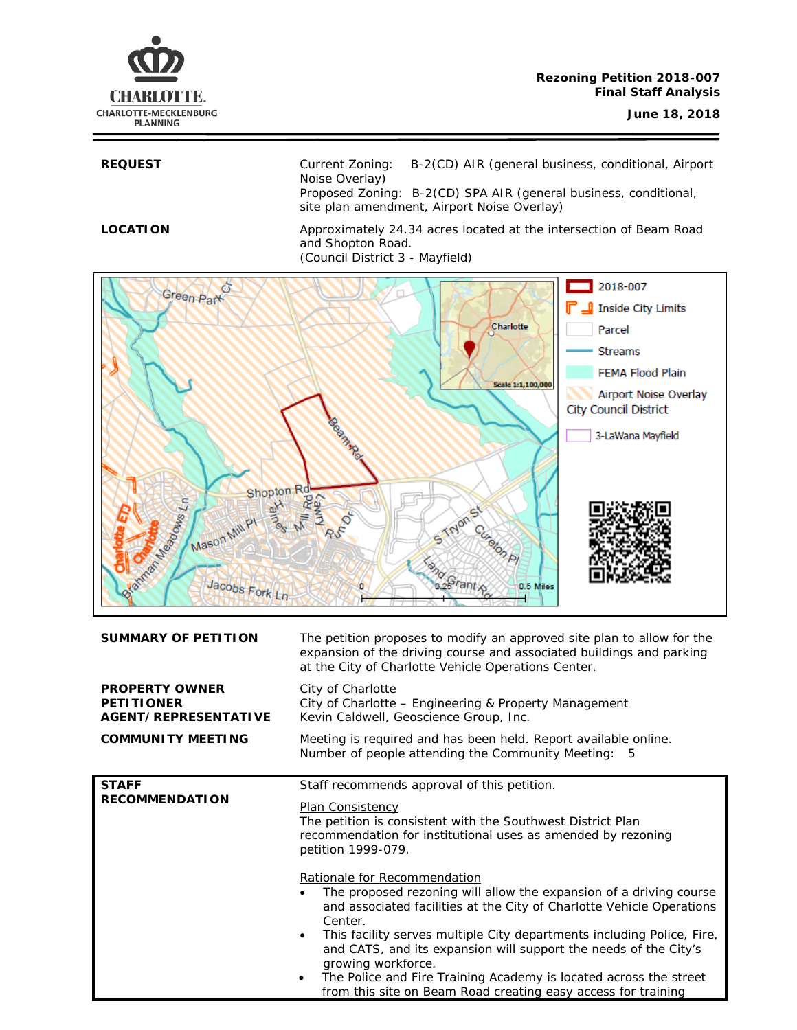

REQUEST Current Zoning: B-2(CD) AIR (general business, conditional, Airport Noise Overlay) Proposed Zoning: B-2(CD) SPA AIR (general business, conditional, site plan amendment, Airport Noise Overlay)

**LOCATION** Approximately 24.34 acres located at the intersection of Beam Road and Shopton Road. (Council District 3 - Mayfield)



| <b>SUMMARY OF PETITION</b>                                         | The petition proposes to modify an approved site plan to allow for the<br>expansion of the driving course and associated buildings and parking<br>at the City of Charlotte Vehicle Operations Center.                                                                                                                                                                                                                                                                                                                                                                                                                                                                                          |  |
|--------------------------------------------------------------------|------------------------------------------------------------------------------------------------------------------------------------------------------------------------------------------------------------------------------------------------------------------------------------------------------------------------------------------------------------------------------------------------------------------------------------------------------------------------------------------------------------------------------------------------------------------------------------------------------------------------------------------------------------------------------------------------|--|
| <b>PROPERTY OWNER</b><br><b>PETITIONER</b><br>AGENT/REPRESENTATIVE | City of Charlotte<br>City of Charlotte - Engineering & Property Management<br>Kevin Caldwell, Geoscience Group, Inc.                                                                                                                                                                                                                                                                                                                                                                                                                                                                                                                                                                           |  |
| <b>COMMUNITY MEETING</b>                                           | Meeting is required and has been held. Report available online.<br>Number of people attending the Community Meeting: 5                                                                                                                                                                                                                                                                                                                                                                                                                                                                                                                                                                         |  |
| <b>STAFF</b><br><b>RECOMMENDATION</b>                              | Staff recommends approval of this petition.<br>Plan Consistency<br>The petition is consistent with the Southwest District Plan<br>recommendation for institutional uses as amended by rezoning<br>petition 1999-079.<br>Rationale for Recommendation<br>The proposed rezoning will allow the expansion of a driving course<br>$\bullet$<br>and associated facilities at the City of Charlotte Vehicle Operations<br>Center.<br>This facility serves multiple City departments including Police, Fire,<br>$\bullet$<br>and CATS, and its expansion will support the needs of the City's<br>growing workforce.<br>The Police and Fire Training Academy is located across the street<br>$\bullet$ |  |
|                                                                    | from this site on Beam Road creating easy access for training                                                                                                                                                                                                                                                                                                                                                                                                                                                                                                                                                                                                                                  |  |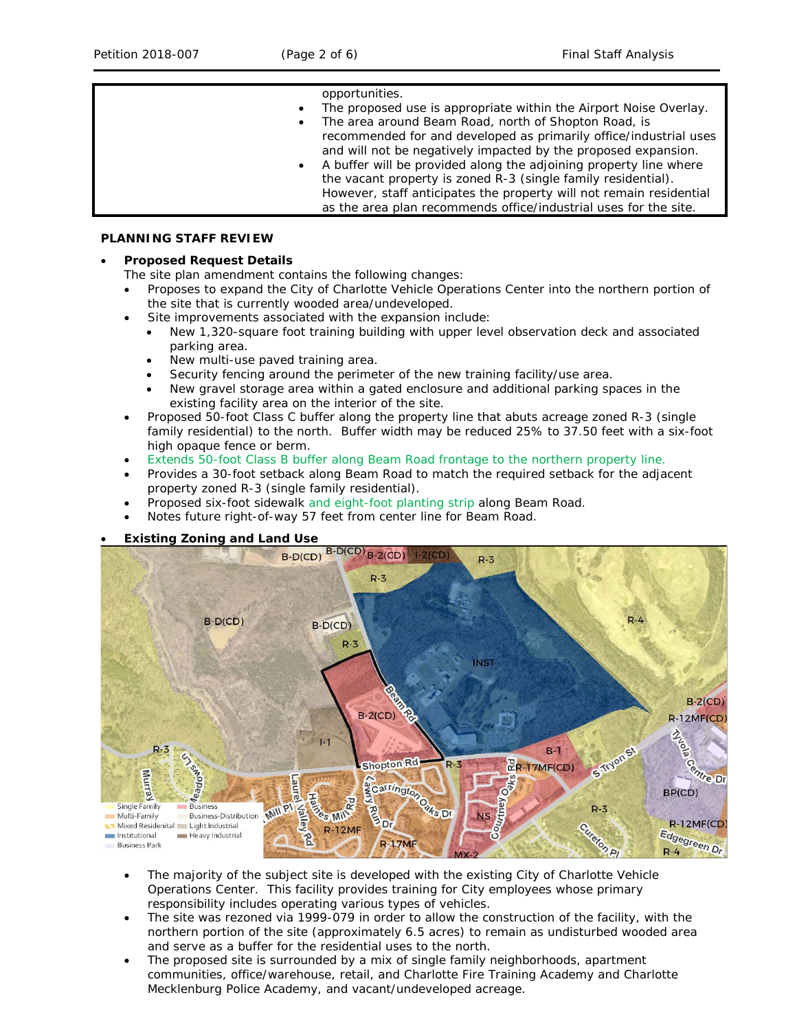### opportunities.

- The proposed use is appropriate within the Airport Noise Overlay. The area around Beam Road, north of Shopton Road, is
- recommended for and developed as primarily office/industrial uses and will not be negatively impacted by the proposed expansion.
- A buffer will be provided along the adjoining property line where the vacant property is zoned R-3 (single family residential). However, staff anticipates the property will not remain residential as the area plan recommends office/industrial uses for the site.

### **PLANNING STAFF REVIEW**

# • **Proposed Request Details**

- The site plan amendment contains the following changes:
- Proposes to expand the City of Charlotte Vehicle Operations Center into the northern portion of the site that is currently wooded area/undeveloped.
	- Site improvements associated with the expansion include:
	- New 1,320-square foot training building with upper level observation deck and associated parking area.
	- New multi-use paved training area.
	- Security fencing around the perimeter of the new training facility/use area.
	- New gravel storage area within a gated enclosure and additional parking spaces in the existing facility area on the interior of the site.
- Proposed 50-foot Class C buffer along the property line that abuts acreage zoned R-3 (single family residential) to the north. Buffer width may be reduced 25% to 37.50 feet with a six-foot high opaque fence or berm.
- Extends 50-foot Class B buffer along Beam Road frontage to the northern property line.
- Provides a 30-foot setback along Beam Road to match the required setback for the adjacent property zoned R-3 (single family residential).
- Proposed six-foot sidewalk and eight-foot planting strip along Beam Road.
- Notes future right-of-way 57 feet from center line for Beam Road.





- The majority of the subject site is developed with the existing City of Charlotte Vehicle Operations Center. This facility provides training for City employees whose primary responsibility includes operating various types of vehicles.
- The site was rezoned via 1999-079 in order to allow the construction of the facility, with the northern portion of the site (approximately 6.5 acres) to remain as undisturbed wooded area and serve as a buffer for the residential uses to the north.
- The proposed site is surrounded by a mix of single family neighborhoods, apartment communities, office/warehouse, retail, and Charlotte Fire Training Academy and Charlotte Mecklenburg Police Academy, and vacant/undeveloped acreage.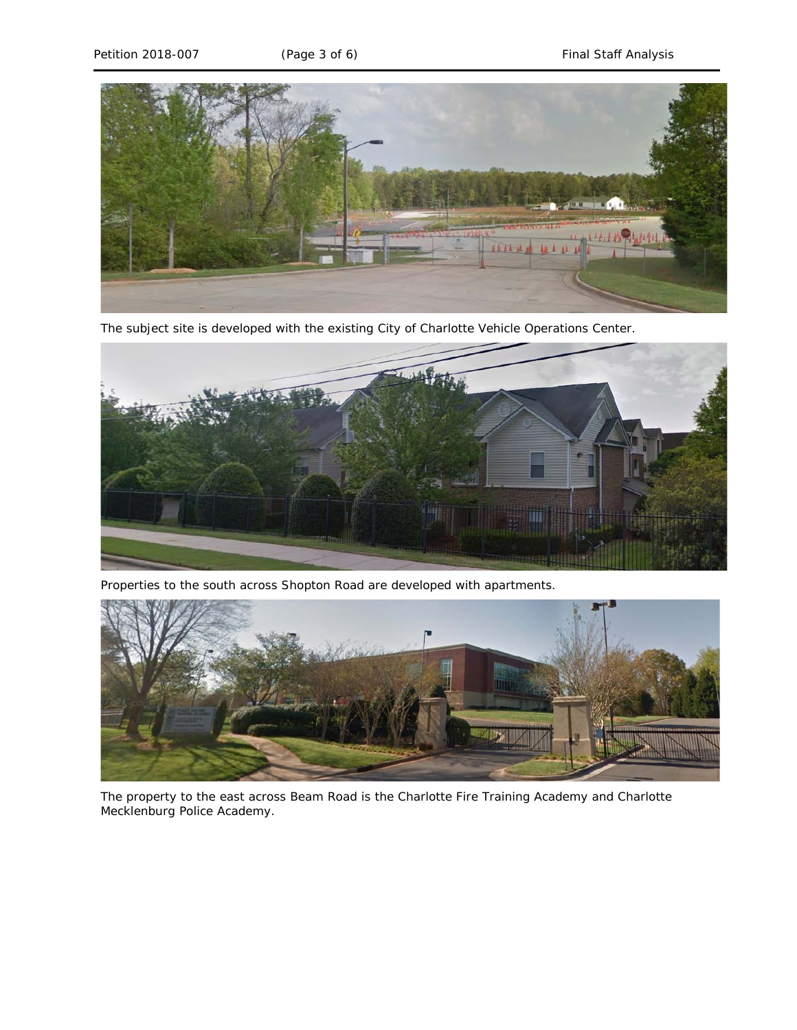

The subject site is developed with the existing City of Charlotte Vehicle Operations Center.



Properties to the south across Shopton Road are developed with apartments.



The property to the east across Beam Road is the Charlotte Fire Training Academy and Charlotte Mecklenburg Police Academy.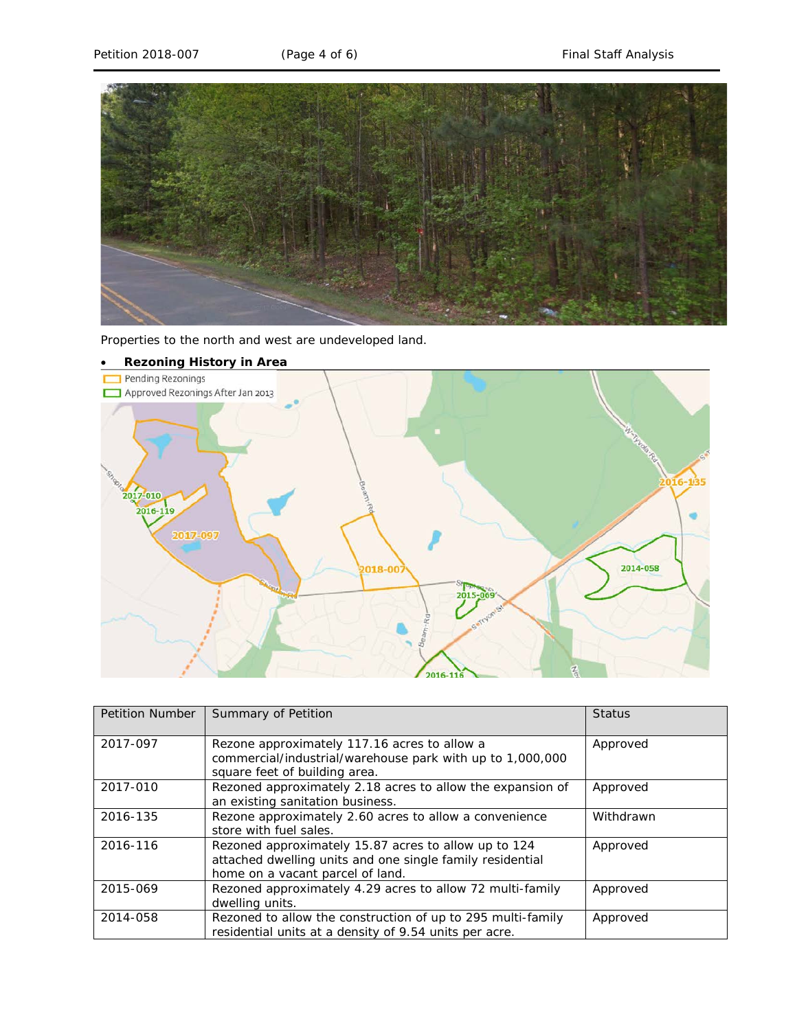

Properties to the north and west are undeveloped land.



| <b>Petition Number</b> | Summary of Petition                                         | <b>Status</b> |  |
|------------------------|-------------------------------------------------------------|---------------|--|
|                        |                                                             |               |  |
| 2017-097               | Rezone approximately 117.16 acres to allow a                | Approved      |  |
|                        | commercial/industrial/warehouse park with up to 1,000,000   |               |  |
|                        | square feet of building area.                               |               |  |
| 2017-010               | Rezoned approximately 2.18 acres to allow the expansion of  | Approved      |  |
|                        | an existing sanitation business.                            |               |  |
| 2016-135               | Rezone approximately 2.60 acres to allow a convenience      | Withdrawn     |  |
|                        | store with fuel sales.                                      |               |  |
| 2016-116               | Rezoned approximately 15.87 acres to allow up to 124        | Approved      |  |
|                        | attached dwelling units and one single family residential   |               |  |
|                        | home on a vacant parcel of land.                            |               |  |
| 2015-069               | Rezoned approximately 4.29 acres to allow 72 multi-family   | Approved      |  |
|                        | dwelling units.                                             |               |  |
| 2014-058               |                                                             | Approved      |  |
|                        | residential units at a density of 9.54 units per acre.      |               |  |
|                        | Rezoned to allow the construction of up to 295 multi-family |               |  |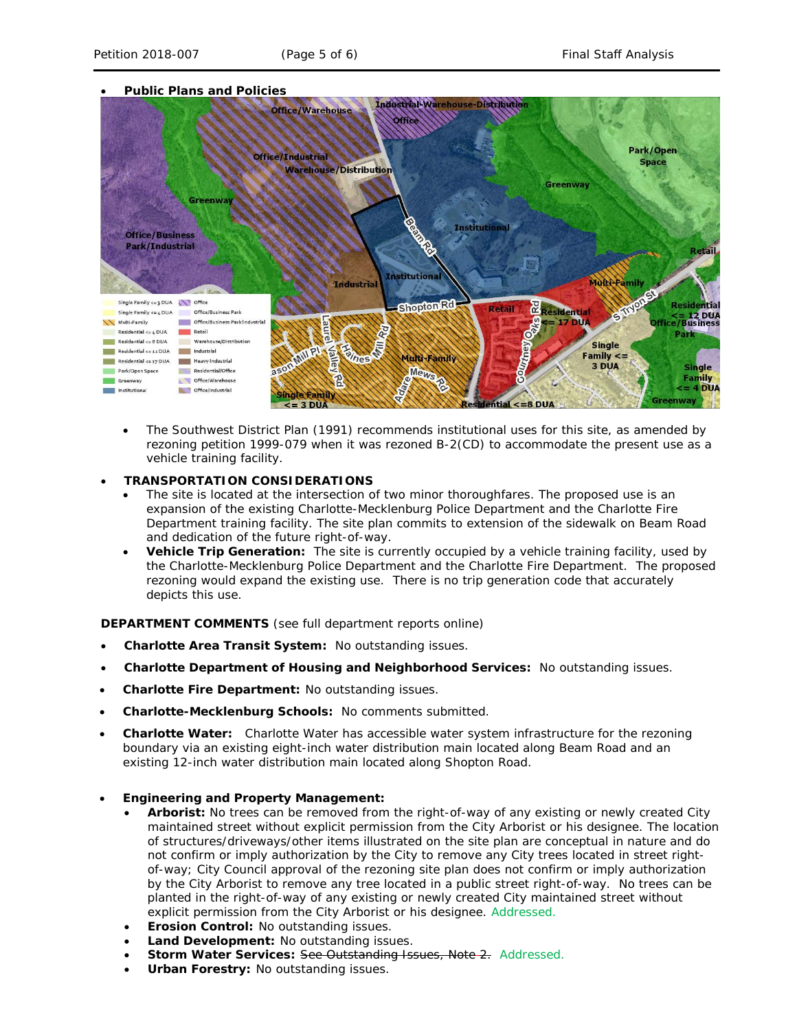

- The *Southwest District Plan* (1991) recommends institutional uses for this site, as amended by rezoning petition 1999-079 when it was rezoned B-2(CD) to accommodate the present use as a vehicle training facility.
- **TRANSPORTATION CONSIDERATIONS**
	- The site is located at the intersection of two minor thoroughfares. The proposed use is an expansion of the existing Charlotte-Mecklenburg Police Department and the Charlotte Fire Department training facility. The site plan commits to extension of the sidewalk on Beam Road and dedication of the future right-of-way.
	- **Vehicle Trip Generation:** The site is currently occupied by a vehicle training facility, used by the Charlotte-Mecklenburg Police Department and the Charlotte Fire Department. The proposed rezoning would expand the existing use. There is no trip generation code that accurately depicts this use.

**DEPARTMENT COMMENTS** (see full department reports online)

- **Charlotte Area Transit System:** No outstanding issues.
- **Charlotte Department of Housing and Neighborhood Services:** No outstanding issues.
- **Charlotte Fire Department:** No outstanding issues.
- **Charlotte-Mecklenburg Schools:** No comments submitted.
- **Charlotte Water:** Charlotte Water has accessible water system infrastructure for the rezoning boundary via an existing eight-inch water distribution main located along Beam Road and an existing 12-inch water distribution main located along Shopton Road.
- **Engineering and Property Management:**
	- **Arborist:** No trees can be removed from the right-of-way of any existing or newly created City maintained street without explicit permission from the City Arborist or his designee. The location of structures/driveways/other items illustrated on the site plan are conceptual in nature and do not confirm or imply authorization by the City to remove any City trees located in street rightof-way; City Council approval of the rezoning site plan does not confirm or imply authorization by the City Arborist to remove any tree located in a public street right-of-way. No trees can be planted in the right-of-way of any existing or newly created City maintained street without explicit permission from the City Arborist or his designee. Addressed.
	- **Erosion Control:** No outstanding issues.
	- **Land Development:** No outstanding issues.
	- **Storm Water Services: See Outstanding Issues, Note 2. Addressed.**
	- **Urban Forestry:** No outstanding issues.